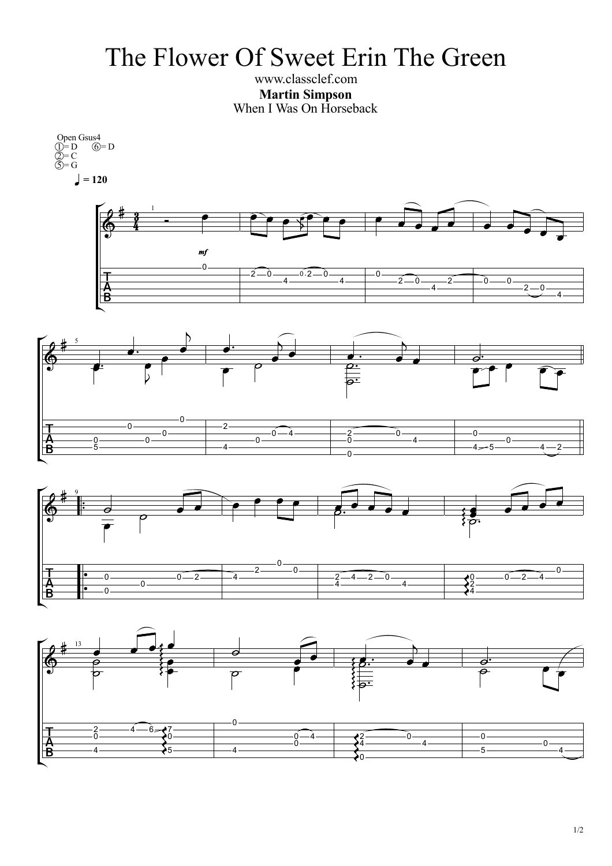## The Flower Of Sweet Erin The Green

www.classclef.com **Martin Simpson** When I Was On Horseback